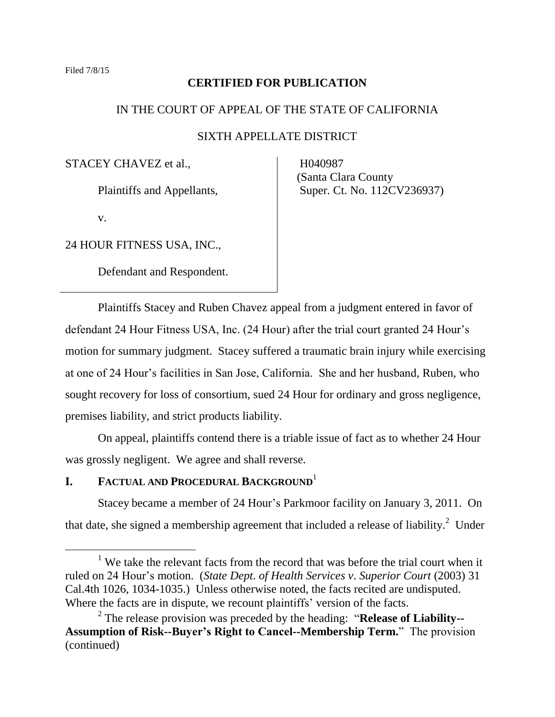## **CERTIFIED FOR PUBLICATION**

## IN THE COURT OF APPEAL OF THE STATE OF CALIFORNIA

## SIXTH APPELLATE DISTRICT

STACEY CHAVEZ et al.,

Plaintiffs and Appellants,

v.

24 HOUR FITNESS USA, INC.,

Defendant and Respondent.

 H040987 (Santa Clara County Super. Ct. No. 112CV236937)

Plaintiffs Stacey and Ruben Chavez appeal from a judgment entered in favor of defendant 24 Hour Fitness USA, Inc. (24 Hour) after the trial court granted 24 Hour's motion for summary judgment. Stacey suffered a traumatic brain injury while exercising at one of 24 Hour's facilities in San Jose, California. She and her husband, Ruben, who sought recovery for loss of consortium, sued 24 Hour for ordinary and gross negligence, premises liability, and strict products liability.

On appeal, plaintiffs contend there is a triable issue of fact as to whether 24 Hour was grossly negligent. We agree and shall reverse.

## **I. FACTUAL AND PROCEDURAL BACKGROUND**<sup>1</sup>

Stacey became a member of 24 Hour's Parkmoor facility on January 3, 2011. On that date, she signed a membership agreement that included a release of liability.<sup>2</sup> Under

<sup>&</sup>lt;sup>1</sup> We take the relevant facts from the record that was before the trial court when it ruled on 24 Hour's motion. (*State Dept*. *of Health Services v*. *Superior Court* (2003) 31 Cal.4th 1026, 1034-1035.) Unless otherwise noted, the facts recited are undisputed. Where the facts are in dispute, we recount plaintiffs' version of the facts.

<sup>2</sup> The release provision was preceded by the heading: "**Release of Liability-- Assumption of Risk--Buyer's Right to Cancel--Membership Term.**" The provision (continued)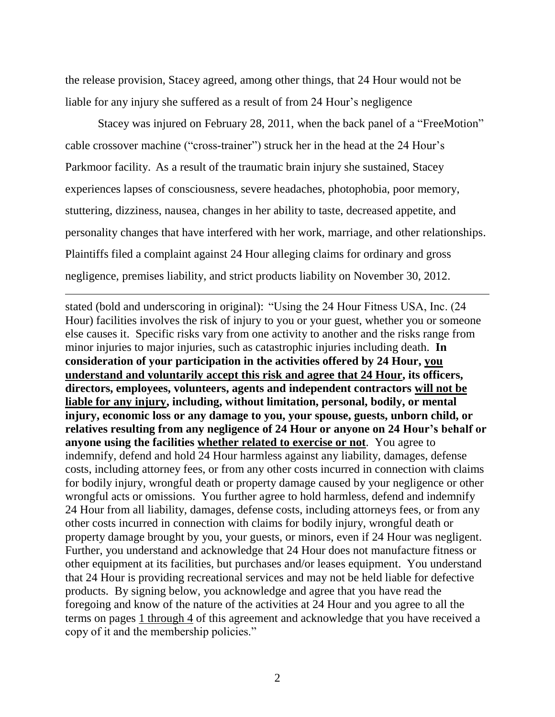the release provision, Stacey agreed, among other things, that 24 Hour would not be liable for any injury she suffered as a result of from 24 Hour's negligence

Stacey was injured on February 28, 2011, when the back panel of a "FreeMotion" cable crossover machine ("cross-trainer") struck her in the head at the 24 Hour's Parkmoor facility. As a result of the traumatic brain injury she sustained, Stacey experiences lapses of consciousness, severe headaches, photophobia, poor memory, stuttering, dizziness, nausea, changes in her ability to taste, decreased appetite, and personality changes that have interfered with her work, marriage, and other relationships. Plaintiffs filed a complaint against 24 Hour alleging claims for ordinary and gross negligence, premises liability, and strict products liability on November 30, 2012.

stated (bold and underscoring in original): "Using the 24 Hour Fitness USA, Inc. (24 Hour) facilities involves the risk of injury to you or your guest, whether you or someone else causes it. Specific risks vary from one activity to another and the risks range from minor injuries to major injuries, such as catastrophic injuries including death. **In consideration of your participation in the activities offered by 24 Hour, you understand and voluntarily accept this risk and agree that 24 Hour, its officers, directors, employees, volunteers, agents and independent contractors will not be liable for any injury, including, without limitation, personal, bodily, or mental injury, economic loss or any damage to you, your spouse, guests, unborn child, or relatives resulting from any negligence of 24 Hour or anyone on 24 Hour's behalf or anyone using the facilities whether related to exercise or not**. You agree to indemnify, defend and hold 24 Hour harmless against any liability, damages, defense costs, including attorney fees, or from any other costs incurred in connection with claims for bodily injury, wrongful death or property damage caused by your negligence or other wrongful acts or omissions. You further agree to hold harmless, defend and indemnify 24 Hour from all liability, damages, defense costs, including attorneys fees, or from any other costs incurred in connection with claims for bodily injury, wrongful death or property damage brought by you, your guests, or minors, even if 24 Hour was negligent. Further, you understand and acknowledge that 24 Hour does not manufacture fitness or other equipment at its facilities, but purchases and/or leases equipment. You understand that 24 Hour is providing recreational services and may not be held liable for defective products. By signing below, you acknowledge and agree that you have read the foregoing and know of the nature of the activities at 24 Hour and you agree to all the terms on pages 1 through 4 of this agreement and acknowledge that you have received a copy of it and the membership policies."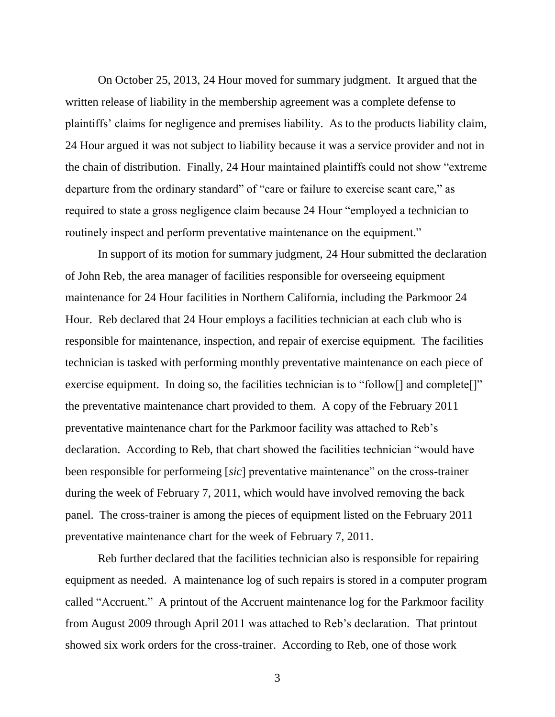On October 25, 2013, 24 Hour moved for summary judgment. It argued that the written release of liability in the membership agreement was a complete defense to plaintiffs' claims for negligence and premises liability. As to the products liability claim, 24 Hour argued it was not subject to liability because it was a service provider and not in the chain of distribution. Finally, 24 Hour maintained plaintiffs could not show "extreme departure from the ordinary standard" of "care or failure to exercise scant care," as required to state a gross negligence claim because 24 Hour "employed a technician to routinely inspect and perform preventative maintenance on the equipment."

In support of its motion for summary judgment, 24 Hour submitted the declaration of John Reb, the area manager of facilities responsible for overseeing equipment maintenance for 24 Hour facilities in Northern California, including the Parkmoor 24 Hour. Reb declared that 24 Hour employs a facilities technician at each club who is responsible for maintenance, inspection, and repair of exercise equipment. The facilities technician is tasked with performing monthly preventative maintenance on each piece of exercise equipment. In doing so, the facilities technician is to "follow<sup>[]</sup> and complete<sup>[]"</sup> the preventative maintenance chart provided to them. A copy of the February 2011 preventative maintenance chart for the Parkmoor facility was attached to Reb's declaration. According to Reb, that chart showed the facilities technician "would have been responsible for performeing [*sic*] preventative maintenance" on the cross-trainer during the week of February 7, 2011, which would have involved removing the back panel. The cross-trainer is among the pieces of equipment listed on the February 2011 preventative maintenance chart for the week of February 7, 2011.

Reb further declared that the facilities technician also is responsible for repairing equipment as needed. A maintenance log of such repairs is stored in a computer program called "Accruent." A printout of the Accruent maintenance log for the Parkmoor facility from August 2009 through April 2011 was attached to Reb's declaration. That printout showed six work orders for the cross-trainer. According to Reb, one of those work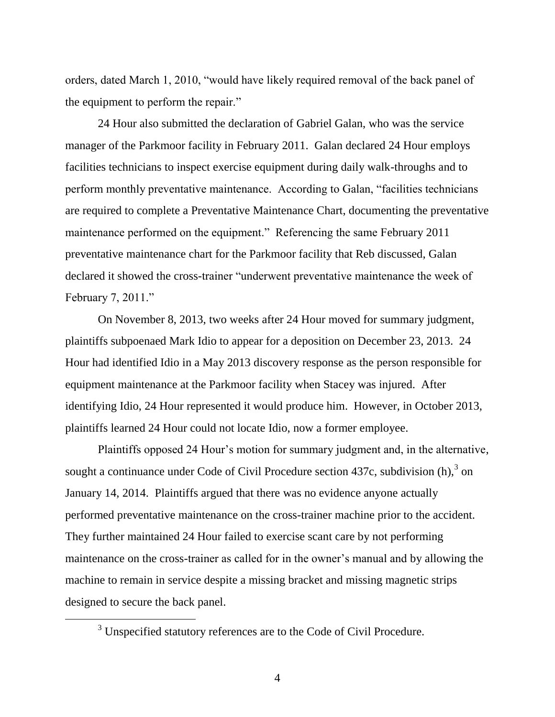orders, dated March 1, 2010, "would have likely required removal of the back panel of the equipment to perform the repair."

24 Hour also submitted the declaration of Gabriel Galan, who was the service manager of the Parkmoor facility in February 2011. Galan declared 24 Hour employs facilities technicians to inspect exercise equipment during daily walk-throughs and to perform monthly preventative maintenance. According to Galan, "facilities technicians are required to complete a Preventative Maintenance Chart, documenting the preventative maintenance performed on the equipment." Referencing the same February 2011 preventative maintenance chart for the Parkmoor facility that Reb discussed, Galan declared it showed the cross-trainer "underwent preventative maintenance the week of February 7, 2011."

On November 8, 2013, two weeks after 24 Hour moved for summary judgment, plaintiffs subpoenaed Mark Idio to appear for a deposition on December 23, 2013. 24 Hour had identified Idio in a May 2013 discovery response as the person responsible for equipment maintenance at the Parkmoor facility when Stacey was injured. After identifying Idio, 24 Hour represented it would produce him. However, in October 2013, plaintiffs learned 24 Hour could not locate Idio, now a former employee.

Plaintiffs opposed 24 Hour's motion for summary judgment and, in the alternative, sought a continuance under Code of Civil Procedure section 437c, subdivision  $(h)$ ,  $3$  on January 14, 2014. Plaintiffs argued that there was no evidence anyone actually performed preventative maintenance on the cross-trainer machine prior to the accident. They further maintained 24 Hour failed to exercise scant care by not performing maintenance on the cross-trainer as called for in the owner's manual and by allowing the machine to remain in service despite a missing bracket and missing magnetic strips designed to secure the back panel.

 $\overline{a}$ 

<sup>&</sup>lt;sup>3</sup> Unspecified statutory references are to the Code of Civil Procedure.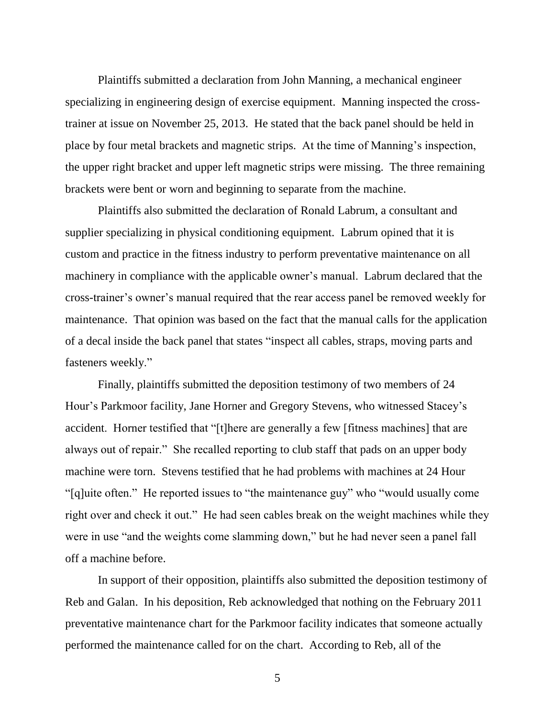Plaintiffs submitted a declaration from John Manning, a mechanical engineer specializing in engineering design of exercise equipment. Manning inspected the crosstrainer at issue on November 25, 2013. He stated that the back panel should be held in place by four metal brackets and magnetic strips. At the time of Manning's inspection, the upper right bracket and upper left magnetic strips were missing. The three remaining brackets were bent or worn and beginning to separate from the machine.

Plaintiffs also submitted the declaration of Ronald Labrum, a consultant and supplier specializing in physical conditioning equipment. Labrum opined that it is custom and practice in the fitness industry to perform preventative maintenance on all machinery in compliance with the applicable owner's manual. Labrum declared that the cross-trainer's owner's manual required that the rear access panel be removed weekly for maintenance. That opinion was based on the fact that the manual calls for the application of a decal inside the back panel that states "inspect all cables, straps, moving parts and fasteners weekly."

Finally, plaintiffs submitted the deposition testimony of two members of 24 Hour's Parkmoor facility, Jane Horner and Gregory Stevens, who witnessed Stacey's accident. Horner testified that "[t]here are generally a few [fitness machines] that are always out of repair." She recalled reporting to club staff that pads on an upper body machine were torn. Stevens testified that he had problems with machines at 24 Hour "[q]uite often." He reported issues to "the maintenance guy" who "would usually come right over and check it out." He had seen cables break on the weight machines while they were in use "and the weights come slamming down," but he had never seen a panel fall off a machine before.

In support of their opposition, plaintiffs also submitted the deposition testimony of Reb and Galan. In his deposition, Reb acknowledged that nothing on the February 2011 preventative maintenance chart for the Parkmoor facility indicates that someone actually performed the maintenance called for on the chart. According to Reb, all of the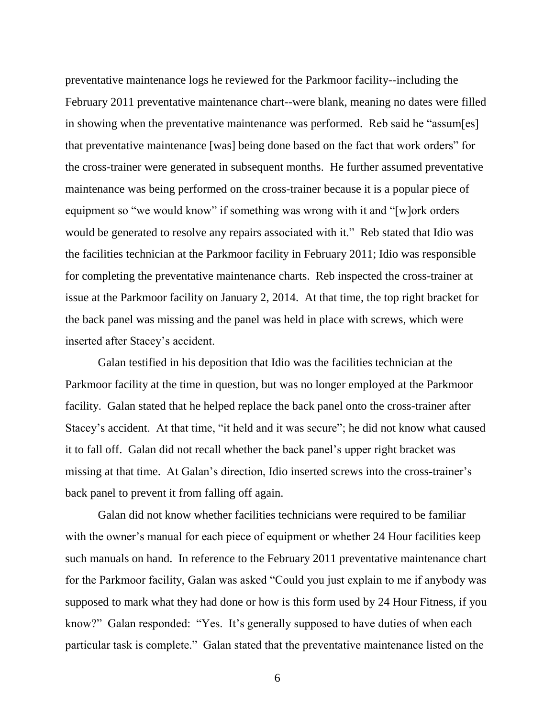preventative maintenance logs he reviewed for the Parkmoor facility--including the February 2011 preventative maintenance chart--were blank, meaning no dates were filled in showing when the preventative maintenance was performed. Reb said he "assum[es] that preventative maintenance [was] being done based on the fact that work orders" for the cross-trainer were generated in subsequent months. He further assumed preventative maintenance was being performed on the cross-trainer because it is a popular piece of equipment so "we would know" if something was wrong with it and "[w]ork orders would be generated to resolve any repairs associated with it." Reb stated that Idio was the facilities technician at the Parkmoor facility in February 2011; Idio was responsible for completing the preventative maintenance charts. Reb inspected the cross-trainer at issue at the Parkmoor facility on January 2, 2014. At that time, the top right bracket for the back panel was missing and the panel was held in place with screws, which were inserted after Stacey's accident.

Galan testified in his deposition that Idio was the facilities technician at the Parkmoor facility at the time in question, but was no longer employed at the Parkmoor facility. Galan stated that he helped replace the back panel onto the cross-trainer after Stacey's accident. At that time, "it held and it was secure"; he did not know what caused it to fall off. Galan did not recall whether the back panel's upper right bracket was missing at that time. At Galan's direction, Idio inserted screws into the cross-trainer's back panel to prevent it from falling off again.

Galan did not know whether facilities technicians were required to be familiar with the owner's manual for each piece of equipment or whether 24 Hour facilities keep such manuals on hand. In reference to the February 2011 preventative maintenance chart for the Parkmoor facility, Galan was asked "Could you just explain to me if anybody was supposed to mark what they had done or how is this form used by 24 Hour Fitness, if you know?" Galan responded: "Yes. It's generally supposed to have duties of when each particular task is complete." Galan stated that the preventative maintenance listed on the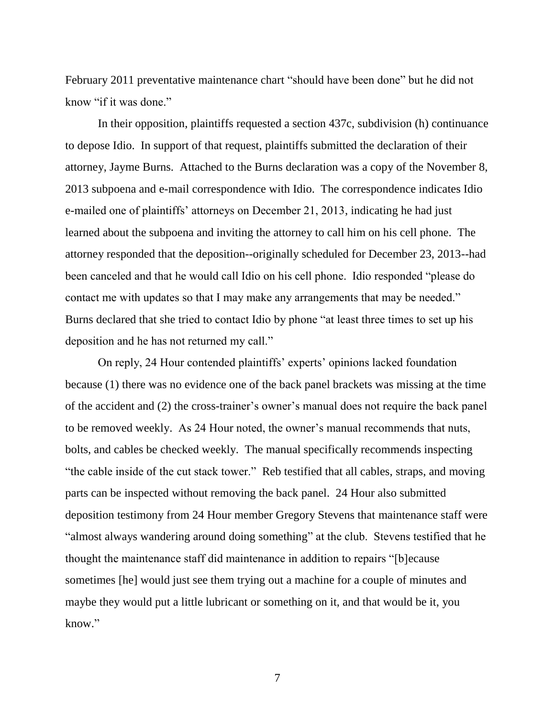February 2011 preventative maintenance chart "should have been done" but he did not know "if it was done."

In their opposition, plaintiffs requested a section 437c, subdivision (h) continuance to depose Idio. In support of that request, plaintiffs submitted the declaration of their attorney, Jayme Burns. Attached to the Burns declaration was a copy of the November 8, 2013 subpoena and e-mail correspondence with Idio. The correspondence indicates Idio e-mailed one of plaintiffs' attorneys on December 21, 2013, indicating he had just learned about the subpoena and inviting the attorney to call him on his cell phone. The attorney responded that the deposition--originally scheduled for December 23, 2013--had been canceled and that he would call Idio on his cell phone. Idio responded "please do contact me with updates so that I may make any arrangements that may be needed." Burns declared that she tried to contact Idio by phone "at least three times to set up his deposition and he has not returned my call."

On reply, 24 Hour contended plaintiffs' experts' opinions lacked foundation because (1) there was no evidence one of the back panel brackets was missing at the time of the accident and (2) the cross-trainer's owner's manual does not require the back panel to be removed weekly. As 24 Hour noted, the owner's manual recommends that nuts, bolts, and cables be checked weekly. The manual specifically recommends inspecting "the cable inside of the cut stack tower." Reb testified that all cables, straps, and moving parts can be inspected without removing the back panel. 24 Hour also submitted deposition testimony from 24 Hour member Gregory Stevens that maintenance staff were "almost always wandering around doing something" at the club. Stevens testified that he thought the maintenance staff did maintenance in addition to repairs "[b]ecause sometimes [he] would just see them trying out a machine for a couple of minutes and maybe they would put a little lubricant or something on it, and that would be it, you know."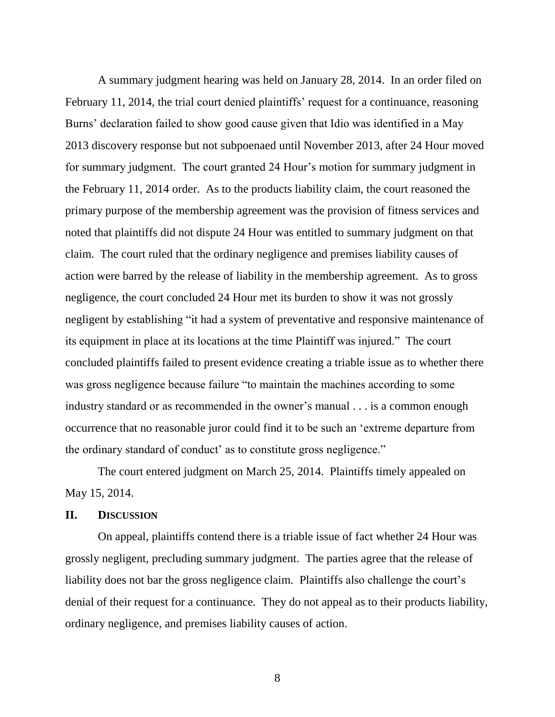A summary judgment hearing was held on January 28, 2014. In an order filed on February 11, 2014, the trial court denied plaintiffs' request for a continuance, reasoning Burns' declaration failed to show good cause given that Idio was identified in a May 2013 discovery response but not subpoenaed until November 2013, after 24 Hour moved for summary judgment. The court granted 24 Hour's motion for summary judgment in the February 11, 2014 order. As to the products liability claim, the court reasoned the primary purpose of the membership agreement was the provision of fitness services and noted that plaintiffs did not dispute 24 Hour was entitled to summary judgment on that claim. The court ruled that the ordinary negligence and premises liability causes of action were barred by the release of liability in the membership agreement. As to gross negligence, the court concluded 24 Hour met its burden to show it was not grossly negligent by establishing "it had a system of preventative and responsive maintenance of its equipment in place at its locations at the time Plaintiff was injured." The court concluded plaintiffs failed to present evidence creating a triable issue as to whether there was gross negligence because failure "to maintain the machines according to some industry standard or as recommended in the owner's manual . . . is a common enough occurrence that no reasonable juror could find it to be such an 'extreme departure from the ordinary standard of conduct' as to constitute gross negligence."

The court entered judgment on March 25, 2014. Plaintiffs timely appealed on May 15, 2014.

#### **II. DISCUSSION**

On appeal, plaintiffs contend there is a triable issue of fact whether 24 Hour was grossly negligent, precluding summary judgment. The parties agree that the release of liability does not bar the gross negligence claim. Plaintiffs also challenge the court's denial of their request for a continuance. They do not appeal as to their products liability, ordinary negligence, and premises liability causes of action.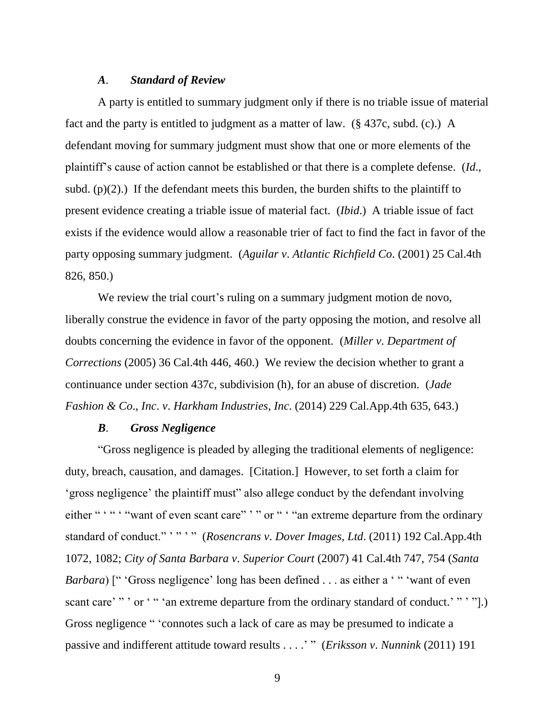#### *A*. *Standard of Review*

A party is entitled to summary judgment only if there is no triable issue of material fact and the party is entitled to judgment as a matter of law. (§ 437c, subd. (c).) A defendant moving for summary judgment must show that one or more elements of the plaintiff's cause of action cannot be established or that there is a complete defense. (*Id*., subd. (p) $(2)$ .) If the defendant meets this burden, the burden shifts to the plaintiff to present evidence creating a triable issue of material fact. (*Ibid*.) A triable issue of fact exists if the evidence would allow a reasonable trier of fact to find the fact in favor of the party opposing summary judgment. (*Aguilar v*. *Atlantic Richfield Co*. (2001) 25 Cal.4th 826, 850.)

We review the trial court's ruling on a summary judgment motion de novo, liberally construe the evidence in favor of the party opposing the motion, and resolve all doubts concerning the evidence in favor of the opponent. (*Miller v*. *Department of Corrections* (2005) 36 Cal.4th 446, 460.) We review the decision whether to grant a continuance under section 437c, subdivision (h), for an abuse of discretion. (*Jade Fashion & Co*., *Inc*. *v*. *Harkham Industries*, *Inc*. (2014) 229 Cal.App.4th 635, 643.)

#### *B*. *Gross Negligence*

"Gross negligence is pleaded by alleging the traditional elements of negligence: duty, breach, causation, and damages. [Citation.] However, to set forth a claim for 'gross negligence' the plaintiff must" also allege conduct by the defendant involving either " " " " want of even scant care" ' " or " ' " an extreme departure from the ordinary standard of conduct." ' " ' " (*Rosencrans v*. *Dover Images*, *Ltd*. (2011) 192 Cal.App.4th 1072, 1082; *City of Santa Barbara v*. *Superior Court* (2007) 41 Cal.4th 747, 754 (*Santa Barbara*) [" 'Gross negligence' long has been defined . . . as either a ' " 'want of even scant care' " ' or ' " ' an extreme departure from the ordinary standard of conduct.' " ' "].) Gross negligence " 'connotes such a lack of care as may be presumed to indicate a passive and indifferent attitude toward results . . . .' " (*Eriksson v*. *Nunnink* (2011) 191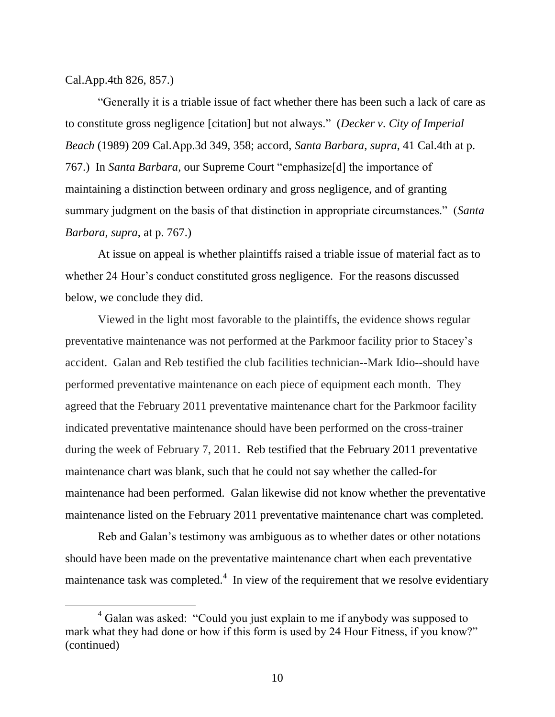Cal.App.4th 826, 857.)

"Generally it is a triable issue of fact whether there has been such a lack of care as to constitute gross negligence [citation] but not always." (*Decker v*. *City of Imperial Beach* (1989) 209 Cal.App.3d 349, 358; accord, *Santa Barbara*, *supra*, 41 Cal.4th at p. 767.) In *Santa Barbara*, our Supreme Court "emphasize[d] the importance of maintaining a distinction between ordinary and gross negligence, and of granting summary judgment on the basis of that distinction in appropriate circumstances." (*Santa Barbara*, *supra*, at p. 767.)

At issue on appeal is whether plaintiffs raised a triable issue of material fact as to whether 24 Hour's conduct constituted gross negligence. For the reasons discussed below, we conclude they did.

Viewed in the light most favorable to the plaintiffs, the evidence shows regular preventative maintenance was not performed at the Parkmoor facility prior to Stacey's accident. Galan and Reb testified the club facilities technician--Mark Idio--should have performed preventative maintenance on each piece of equipment each month. They agreed that the February 2011 preventative maintenance chart for the Parkmoor facility indicated preventative maintenance should have been performed on the cross-trainer during the week of February 7, 2011. Reb testified that the February 2011 preventative maintenance chart was blank, such that he could not say whether the called-for maintenance had been performed. Galan likewise did not know whether the preventative maintenance listed on the February 2011 preventative maintenance chart was completed.

Reb and Galan's testimony was ambiguous as to whether dates or other notations should have been made on the preventative maintenance chart when each preventative maintenance task was completed. $4\,$  In view of the requirement that we resolve evidentiary

 $4$  Galan was asked: "Could you just explain to me if anybody was supposed to mark what they had done or how if this form is used by 24 Hour Fitness, if you know?" (continued)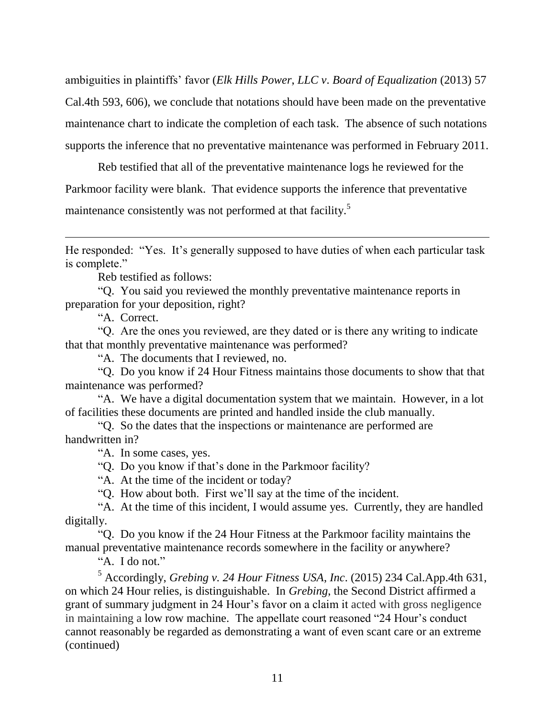ambiguities in plaintiffs' favor (*Elk Hills Power*, *LLC v*. *Board of Equalization* (2013) 57 Cal.4th 593, 606), we conclude that notations should have been made on the preventative maintenance chart to indicate the completion of each task. The absence of such notations supports the inference that no preventative maintenance was performed in February 2011.

Reb testified that all of the preventative maintenance logs he reviewed for the Parkmoor facility were blank. That evidence supports the inference that preventative maintenance consistently was not performed at that facility.<sup>5</sup>

He responded: "Yes. It's generally supposed to have duties of when each particular task is complete."

Reb testified as follows:

"Q. You said you reviewed the monthly preventative maintenance reports in preparation for your deposition, right?

"A. Correct.

"Q. Are the ones you reviewed, are they dated or is there any writing to indicate that that monthly preventative maintenance was performed?

"A. The documents that I reviewed, no.

"Q. Do you know if 24 Hour Fitness maintains those documents to show that that maintenance was performed?

"A. We have a digital documentation system that we maintain. However, in a lot of facilities these documents are printed and handled inside the club manually.

"Q. So the dates that the inspections or maintenance are performed are handwritten in?

"A. In some cases, yes.

"Q. Do you know if that's done in the Parkmoor facility?

"A. At the time of the incident or today?

"Q. How about both. First we'll say at the time of the incident.

"A. At the time of this incident, I would assume yes. Currently, they are handled digitally.

"Q. Do you know if the 24 Hour Fitness at the Parkmoor facility maintains the manual preventative maintenance records somewhere in the facility or anywhere?

"A. I do not."

<sup>5</sup> Accordingly, *Grebing v. 24 Hour Fitness USA*, *Inc*. (2015) 234 Cal.App.4th 631, on which 24 Hour relies, is distinguishable. In *Grebing*, the Second District affirmed a grant of summary judgment in 24 Hour's favor on a claim it acted with gross negligence in maintaining a low row machine. The appellate court reasoned "24 Hour's conduct cannot reasonably be regarded as demonstrating a want of even scant care or an extreme (continued)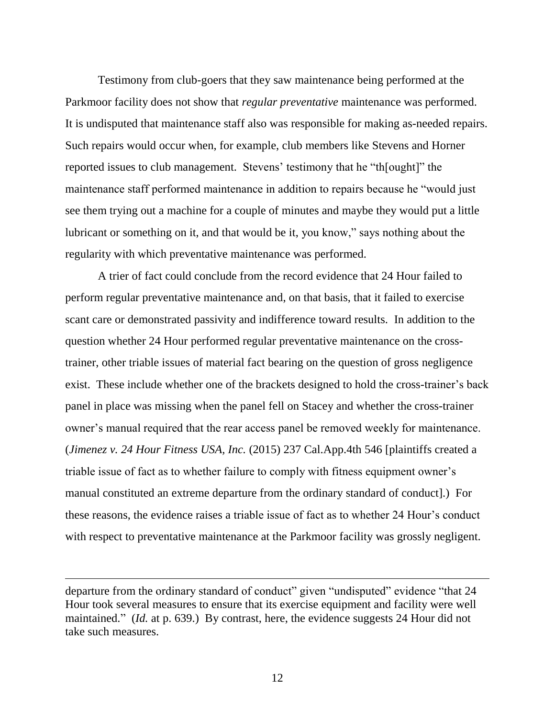Testimony from club-goers that they saw maintenance being performed at the Parkmoor facility does not show that *regular preventative* maintenance was performed. It is undisputed that maintenance staff also was responsible for making as-needed repairs. Such repairs would occur when, for example, club members like Stevens and Horner reported issues to club management. Stevens' testimony that he "th[ought]" the maintenance staff performed maintenance in addition to repairs because he "would just see them trying out a machine for a couple of minutes and maybe they would put a little lubricant or something on it, and that would be it, you know," says nothing about the regularity with which preventative maintenance was performed.

A trier of fact could conclude from the record evidence that 24 Hour failed to perform regular preventative maintenance and, on that basis, that it failed to exercise scant care or demonstrated passivity and indifference toward results. In addition to the question whether 24 Hour performed regular preventative maintenance on the crosstrainer, other triable issues of material fact bearing on the question of gross negligence exist. These include whether one of the brackets designed to hold the cross-trainer's back panel in place was missing when the panel fell on Stacey and whether the cross-trainer owner's manual required that the rear access panel be removed weekly for maintenance. (*Jimenez v. 24 Hour Fitness USA, Inc.* (2015) 237 Cal.App.4th 546 [plaintiffs created a triable issue of fact as to whether failure to comply with fitness equipment owner's manual constituted an extreme departure from the ordinary standard of conduct].) For these reasons, the evidence raises a triable issue of fact as to whether 24 Hour's conduct with respect to preventative maintenance at the Parkmoor facility was grossly negligent.

departure from the ordinary standard of conduct" given "undisputed" evidence "that 24 Hour took several measures to ensure that its exercise equipment and facility were well maintained." *(Id. at p. 639.)* By contrast, here, the evidence suggests 24 Hour did not take such measures.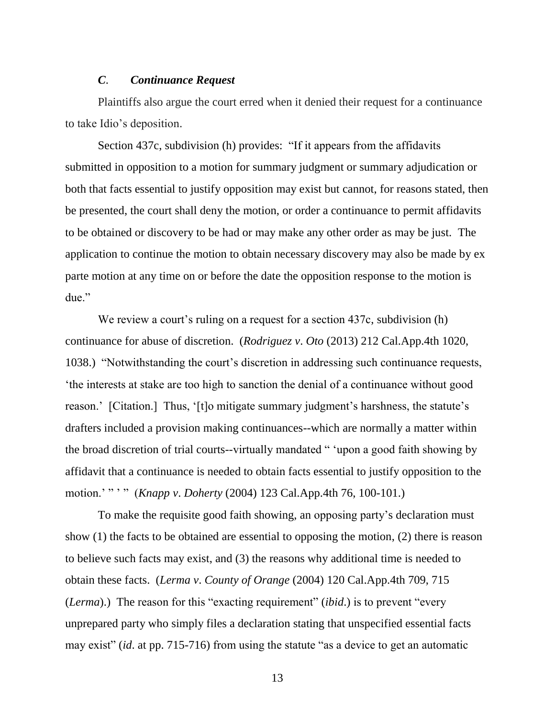#### *C*. *Continuance Request*

Plaintiffs also argue the court erred when it denied their request for a continuance to take Idio's deposition.

Section 437c, subdivision (h) provides: "If it appears from the affidavits submitted in opposition to a motion for summary judgment or summary adjudication or both that facts essential to justify opposition may exist but cannot, for reasons stated, then be presented, the court shall deny the motion, or order a continuance to permit affidavits to be obtained or discovery to be had or may make any other order as may be just. The application to continue the motion to obtain necessary discovery may also be made by ex parte motion at any time on or before the date the opposition response to the motion is due."

We review a court's ruling on a request for a section 437c, subdivision (h) continuance for abuse of discretion. (*Rodriguez v*. *Oto* (2013) 212 Cal.App.4th 1020, 1038.) "Notwithstanding the court's discretion in addressing such continuance requests, 'the interests at stake are too high to sanction the denial of a continuance without good reason.' [Citation.] Thus, '[t]o mitigate summary judgment's harshness, the statute's drafters included a provision making continuances--which are normally a matter within the broad discretion of trial courts--virtually mandated " 'upon a good faith showing by affidavit that a continuance is needed to obtain facts essential to justify opposition to the motion.' " ' " (*Knapp v*. *Doherty* (2004) 123 Cal.App.4th 76, 100-101.)

To make the requisite good faith showing, an opposing party's declaration must show (1) the facts to be obtained are essential to opposing the motion, (2) there is reason to believe such facts may exist, and (3) the reasons why additional time is needed to obtain these facts. (*Lerma v*. *County of Orange* (2004) 120 Cal.App.4th 709, 715 (*Lerma*).) The reason for this "exacting requirement" (*ibid*.) is to prevent "every unprepared party who simply files a declaration stating that unspecified essential facts may exist" (*id*. at pp. 715-716) from using the statute "as a device to get an automatic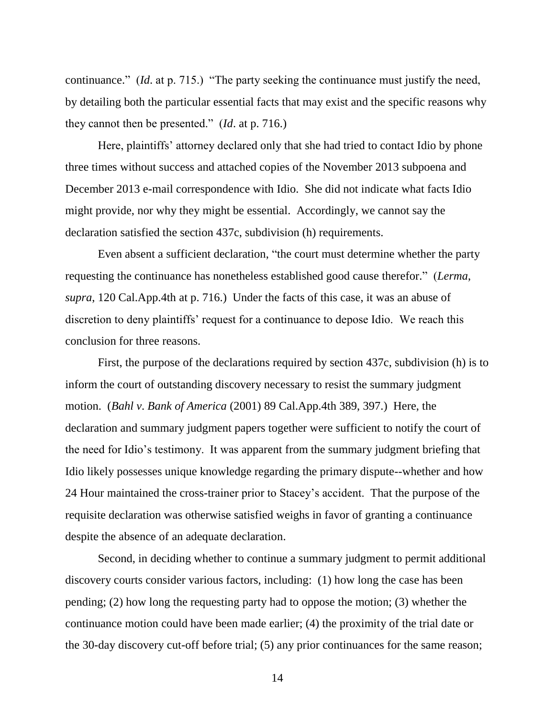continuance." (*Id*. at p. 715.) "The party seeking the continuance must justify the need, by detailing both the particular essential facts that may exist and the specific reasons why they cannot then be presented." (*Id*. at p. 716.)

Here, plaintiffs' attorney declared only that she had tried to contact Idio by phone three times without success and attached copies of the November 2013 subpoena and December 2013 e-mail correspondence with Idio. She did not indicate what facts Idio might provide, nor why they might be essential. Accordingly, we cannot say the declaration satisfied the section 437c, subdivision (h) requirements.

Even absent a sufficient declaration, "the court must determine whether the party requesting the continuance has nonetheless established good cause therefor." (*Lerma*, *supra*, 120 Cal.App.4th at p. 716.) Under the facts of this case, it was an abuse of discretion to deny plaintiffs' request for a continuance to depose Idio. We reach this conclusion for three reasons.

First, the purpose of the declarations required by section 437c, subdivision (h) is to inform the court of outstanding discovery necessary to resist the summary judgment motion. (*Bahl v*. *Bank of America* (2001) 89 Cal.App.4th 389, 397.) Here, the declaration and summary judgment papers together were sufficient to notify the court of the need for Idio's testimony. It was apparent from the summary judgment briefing that Idio likely possesses unique knowledge regarding the primary dispute--whether and how 24 Hour maintained the cross-trainer prior to Stacey's accident. That the purpose of the requisite declaration was otherwise satisfied weighs in favor of granting a continuance despite the absence of an adequate declaration.

Second, in deciding whether to continue a summary judgment to permit additional discovery courts consider various factors, including: (1) how long the case has been pending; (2) how long the requesting party had to oppose the motion; (3) whether the continuance motion could have been made earlier; (4) the proximity of the trial date or the 30-day discovery cut-off before trial; (5) any prior continuances for the same reason;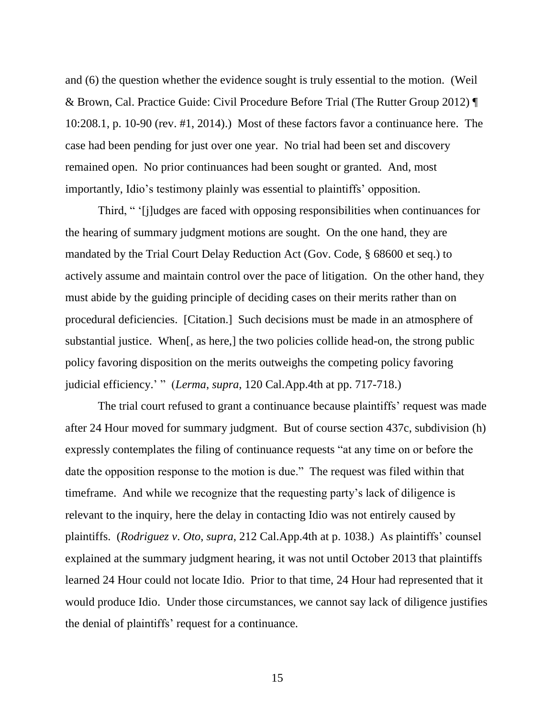and (6) the question whether the evidence sought is truly essential to the motion. (Weil & Brown, Cal. Practice Guide: Civil Procedure Before Trial (The Rutter Group 2012) ¶ 10:208.1, p. 10-90 (rev. #1, 2014).) Most of these factors favor a continuance here. The case had been pending for just over one year. No trial had been set and discovery remained open. No prior continuances had been sought or granted. And, most importantly, Idio's testimony plainly was essential to plaintiffs' opposition.

Third, " '[j]udges are faced with opposing responsibilities when continuances for the hearing of summary judgment motions are sought. On the one hand, they are mandated by the Trial Court Delay Reduction Act (Gov. Code, § 68600 et seq.) to actively assume and maintain control over the pace of litigation. On the other hand, they must abide by the guiding principle of deciding cases on their merits rather than on procedural deficiencies. [Citation.] Such decisions must be made in an atmosphere of substantial justice. When[, as here,] the two policies collide head-on, the strong public policy favoring disposition on the merits outweighs the competing policy favoring judicial efficiency.' " (*Lerma*, *supra*, 120 Cal.App.4th at pp. 717-718.)

The trial court refused to grant a continuance because plaintiffs' request was made after 24 Hour moved for summary judgment. But of course section 437c, subdivision (h) expressly contemplates the filing of continuance requests "at any time on or before the date the opposition response to the motion is due." The request was filed within that timeframe. And while we recognize that the requesting party's lack of diligence is relevant to the inquiry, here the delay in contacting Idio was not entirely caused by plaintiffs. (*Rodriguez v*. *Oto*, *supra*, 212 Cal.App.4th at p. 1038.) As plaintiffs' counsel explained at the summary judgment hearing, it was not until October 2013 that plaintiffs learned 24 Hour could not locate Idio. Prior to that time, 24 Hour had represented that it would produce Idio. Under those circumstances, we cannot say lack of diligence justifies the denial of plaintiffs' request for a continuance.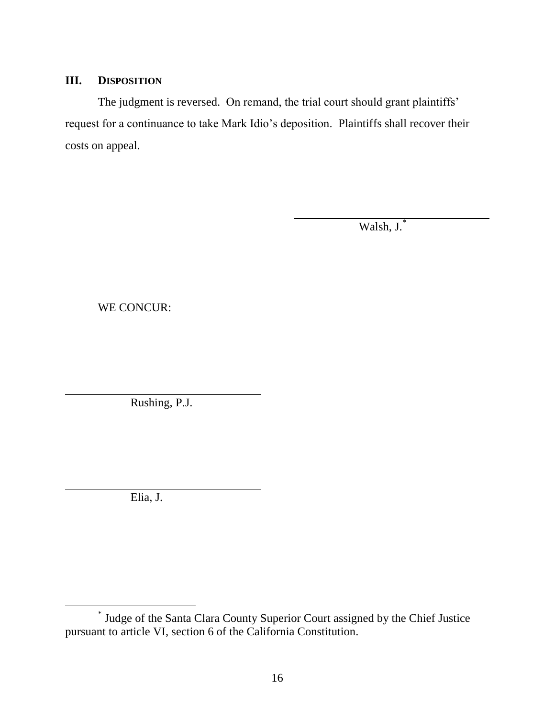## **III. DISPOSITION**

The judgment is reversed. On remand, the trial court should grant plaintiffs' request for a continuance to take Mark Idio's deposition. Plaintiffs shall recover their costs on appeal.

Walsh, J.\*

WE CONCUR:

Rushing, P.J.

Elia, J.

<sup>\*</sup> Judge of the Santa Clara County Superior Court assigned by the Chief Justice pursuant to article VI, section 6 of the California Constitution.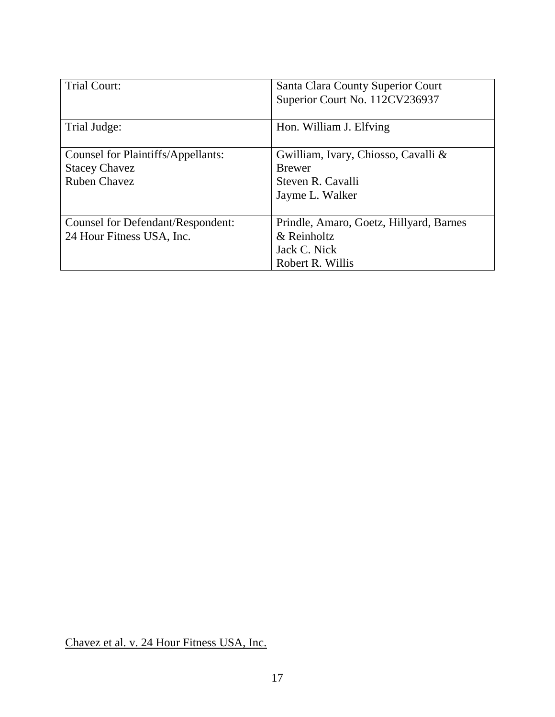| <b>Trial Court:</b>                | Santa Clara County Superior Court<br>Superior Court No. 112CV236937 |
|------------------------------------|---------------------------------------------------------------------|
| Trial Judge:                       | Hon. William J. Elfving                                             |
| Counsel for Plaintiffs/Appellants: | Gwilliam, Ivary, Chiosso, Cavalli &                                 |
| <b>Stacey Chavez</b>               | <b>Brewer</b>                                                       |
| <b>Ruben Chavez</b>                | Steven R. Cavalli                                                   |
|                                    | Jayme L. Walker                                                     |
|                                    |                                                                     |
| Counsel for Defendant/Respondent:  | Prindle, Amaro, Goetz, Hillyard, Barnes                             |
| 24 Hour Fitness USA, Inc.          | & Reinholtz                                                         |
|                                    | Jack C. Nick                                                        |
|                                    | Robert R. Willis                                                    |

Chavez et al. v. 24 Hour Fitness USA, Inc.